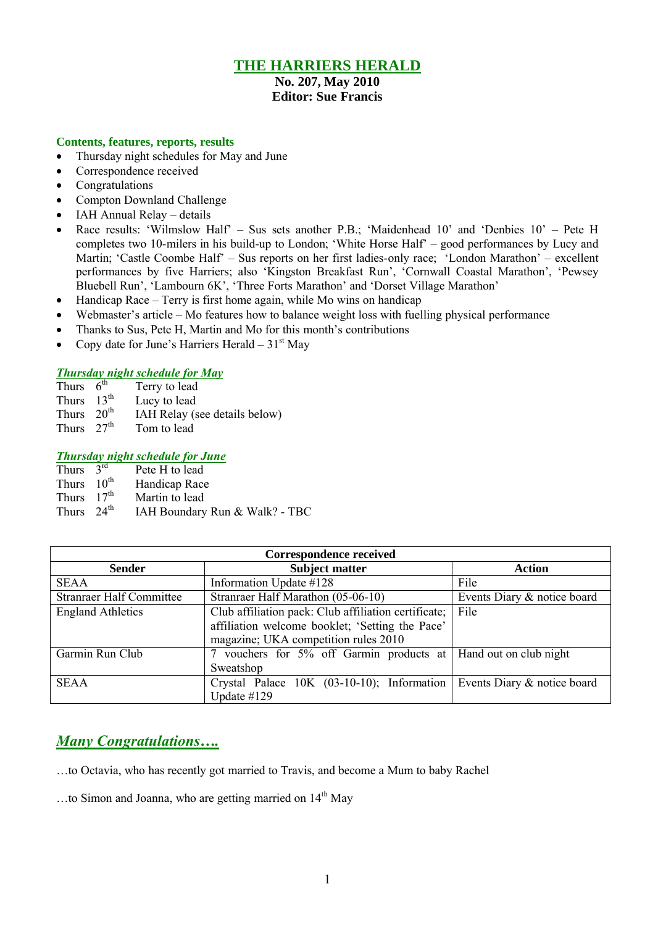# **THE HARRIERS HERALD**

#### **No. 207, May 2010 Editor: Sue Francis**

### **Contents, features, reports, results**

- Thursday night schedules for May and June
- Correspondence received
- Congratulations
- Compton Downland Challenge
- IAH Annual Relay details
- Race results: 'Wilmslow Half' Sus sets another P.B.; 'Maidenhead 10' and 'Denbies 10' Pete H completes two 10-milers in his build-up to London; 'White Horse Half' – good performances by Lucy and Martin; 'Castle Coombe Half' – Sus reports on her first ladies-only race; 'London Marathon' – excellent performances by five Harriers; also 'Kingston Breakfast Run', 'Cornwall Coastal Marathon', 'Pewsey Bluebell Run', 'Lambourn 6K', 'Three Forts Marathon' and 'Dorset Village Marathon'
- Handicap Race Terry is first home again, while Mo wins on handicap
- Webmaster's article Mo features how to balance weight loss with fuelling physical performance
- Thanks to Sus, Pete H, Martin and Mo for this month's contributions
- Copy date for June's Harriers Herald  $31<sup>st</sup>$  May

### *Thursday night schedule for May*

- Thurs  $6^{th}$ <br>Thurs  $13^{th}$ Terry to lead
- Thurs  $13^{th}$  Lucy to lead<br>Thurs  $20^{th}$  IAH Relay (s)
- Thurs  $20^{th}$  IAH Relay (see details below)<br>Thurs  $27^{th}$  Tom to lead
- Tom to lead

### *Thursday night schedule for June*

| Thurs $3^{\text{rd}}$  | Pete H to lead                 |
|------------------------|--------------------------------|
| Thurs $10^{\text{th}}$ | Handicap Race                  |
| Thurs $17th$           | Martin to lead                 |
| Thurs $24^{\text{th}}$ | IAH Boundary Run & Walk? - TBC |

| <b>Correspondence received</b>                                                                                                                                              |                                                           |                             |  |  |  |
|-----------------------------------------------------------------------------------------------------------------------------------------------------------------------------|-----------------------------------------------------------|-----------------------------|--|--|--|
| <b>Sender</b>                                                                                                                                                               | <b>Action</b>                                             |                             |  |  |  |
| <b>SEAA</b>                                                                                                                                                                 | Information Update #128                                   | File                        |  |  |  |
| <b>Stranraer Half Committee</b>                                                                                                                                             | Stranraer Half Marathon (05-06-10)                        | Events Diary & notice board |  |  |  |
| Club affiliation pack: Club affiliation certificate;<br><b>England Athletics</b><br>affiliation welcome booklet; 'Setting the Pace'<br>magazine; UKA competition rules 2010 |                                                           | File                        |  |  |  |
| Garmin Run Club                                                                                                                                                             | 7 vouchers for 5% off Garmin products at<br>Sweatshop     | Hand out on club night      |  |  |  |
| <b>SEAA</b>                                                                                                                                                                 | Crystal Palace 10K (03-10-10); Information<br>Update #129 | Events Diary & notice board |  |  |  |

# *Many Congratulations….*

…to Octavia, who has recently got married to Travis, and become a Mum to baby Rachel

...to Simon and Joanna, who are getting married on  $14<sup>th</sup>$  May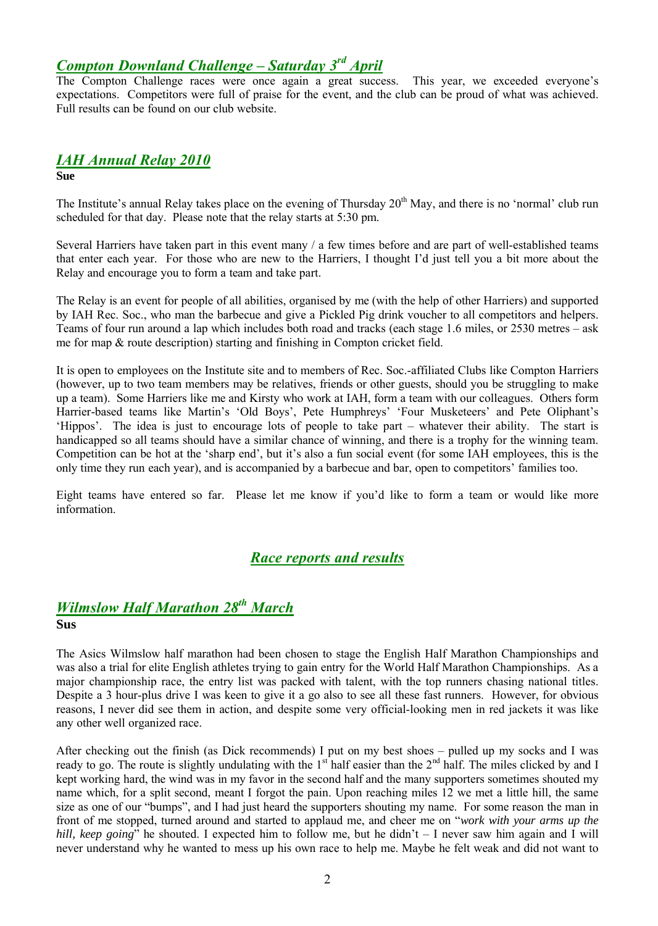# *Compton Downland Challenge – Saturday 3 rd April*

The Compton Challenge races were once again a great success. This year, we exceeded everyone's expectations. Competitors were full of praise for the event, and the club can be proud of what was achieved. Full results can be found on our club website.

### *IAH Annual Relay 2010* **Sue**

The Institute's annual Relay takes place on the evening of Thursday 20<sup>th</sup> May, and there is no 'normal' club run scheduled for that day. Please note that the relay starts at 5:30 pm.

Several Harriers have taken part in this event many / a few times before and are part of well-established teams that enter each year. For those who are new to the Harriers, I thought I'd just tell you a bit more about the Relay and encourage you to form a team and take part.

The Relay is an event for people of all abilities, organised by me (with the help of other Harriers) and supported by IAH Rec. Soc., who man the barbecue and give a Pickled Pig drink voucher to all competitors and helpers. Teams of four run around a lap which includes both road and tracks (each stage 1.6 miles, or 2530 metres – ask me for map & route description) starting and finishing in Compton cricket field.

It is open to employees on the Institute site and to members of Rec. Soc.-affiliated Clubs like Compton Harriers (however, up to two team members may be relatives, friends or other guests, should you be struggling to make up a team). Some Harriers like me and Kirsty who work at IAH, form a team with our colleagues. Others form Harrier-based teams like Martin's 'Old Boys', Pete Humphreys' 'Four Musketeers' and Pete Oliphant's 'Hippos'. The idea is just to encourage lots of people to take part – whatever their ability. The start is handicapped so all teams should have a similar chance of winning, and there is a trophy for the winning team. Competition can be hot at the 'sharp end', but it's also a fun social event (for some IAH employees, this is the only time they run each year), and is accompanied by a barbecue and bar, open to competitors' families too.

Eight teams have entered so far. Please let me know if you'd like to form a team or would like more information.

## *Race reports and results*

### *Wilmslow Half Marathon 28th March* **Sus**

The Asics Wilmslow half marathon had been chosen to stage the English Half Marathon Championships and was also a trial for elite English athletes trying to gain entry for the World Half Marathon Championships. As a major championship race, the entry list was packed with talent, with the top runners chasing national titles. Despite a 3 hour-plus drive I was keen to give it a go also to see all these fast runners. However, for obvious reasons, I never did see them in action, and despite some very official-looking men in red jackets it was like any other well organized race.

After checking out the finish (as Dick recommends) I put on my best shoes – pulled up my socks and I was ready to go. The route is slightly undulating with the  $1<sup>st</sup>$  half easier than the  $2<sup>nd</sup>$  half. The miles clicked by and I kept working hard, the wind was in my favor in the second half and the many supporters sometimes shouted my name which, for a split second, meant I forgot the pain. Upon reaching miles 12 we met a little hill, the same size as one of our "bumps", and I had just heard the supporters shouting my name. For some reason the man in front of me stopped, turned around and started to applaud me, and cheer me on "*work with your arms up the hill, keep going*" he shouted. I expected him to follow me, but he didn't – I never saw him again and I will never understand why he wanted to mess up his own race to help me. Maybe he felt weak and did not want to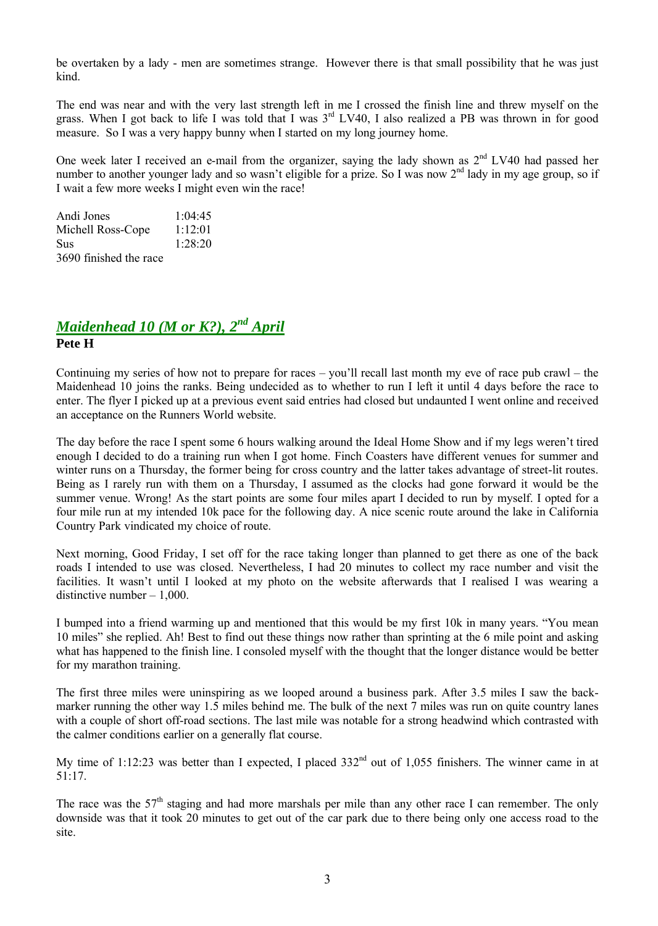be overtaken by a lady - men are sometimes strange. However there is that small possibility that he was just kind.

The end was near and with the very last strength left in me I crossed the finish line and threw myself on the grass. When I got back to life I was told that I was  $3<sup>rd</sup>$  LV40, I also realized a PB was thrown in for good measure. So I was a very happy bunny when I started on my long journey home.

One week later I received an e-mail from the organizer, saying the lady shown as  $2<sup>nd</sup>$  LV40 had passed her number to another younger lady and so wasn't eligible for a prize. So I was now 2<sup>nd</sup> lady in my age group, so if I wait a few more weeks I might even win the race!

| Andi Jones             | 1:04:45 |
|------------------------|---------|
| Michell Ross-Cope      | 1:12:01 |
| Sus                    | 1:28:20 |
| 3690 finished the race |         |

## *Maidenhead 10 (M or K?), 2 nd April* **Pete H**

Continuing my series of how not to prepare for races – you'll recall last month my eve of race pub crawl – the Maidenhead 10 joins the ranks. Being undecided as to whether to run I left it until 4 days before the race to enter. The flyer I picked up at a previous event said entries had closed but undaunted I went online and received an acceptance on the Runners World website.

The day before the race I spent some 6 hours walking around the Ideal Home Show and if my legs weren't tired enough I decided to do a training run when I got home. Finch Coasters have different venues for summer and winter runs on a Thursday, the former being for cross country and the latter takes advantage of street-lit routes. Being as I rarely run with them on a Thursday, I assumed as the clocks had gone forward it would be the summer venue. Wrong! As the start points are some four miles apart I decided to run by myself. I opted for a four mile run at my intended 10k pace for the following day. A nice scenic route around the lake in California Country Park vindicated my choice of route.

Next morning, Good Friday, I set off for the race taking longer than planned to get there as one of the back roads I intended to use was closed. Nevertheless, I had 20 minutes to collect my race number and visit the facilities. It wasn't until I looked at my photo on the website afterwards that I realised I was wearing a distinctive number – 1,000.

I bumped into a friend warming up and mentioned that this would be my first 10k in many years. "You mean 10 miles" she replied. Ah! Best to find out these things now rather than sprinting at the 6 mile point and asking what has happened to the finish line. I consoled myself with the thought that the longer distance would be better for my marathon training.

The first three miles were uninspiring as we looped around a business park. After 3.5 miles I saw the backmarker running the other way 1.5 miles behind me. The bulk of the next 7 miles was run on quite country lanes with a couple of short off-road sections. The last mile was notable for a strong headwind which contrasted with the calmer conditions earlier on a generally flat course.

My time of 1:12:23 was better than I expected, I placed  $332<sup>nd</sup>$  out of 1,055 finishers. The winner came in at 51:17.

The race was the  $57<sup>th</sup>$  staging and had more marshals per mile than any other race I can remember. The only downside was that it took 20 minutes to get out of the car park due to there being only one access road to the site.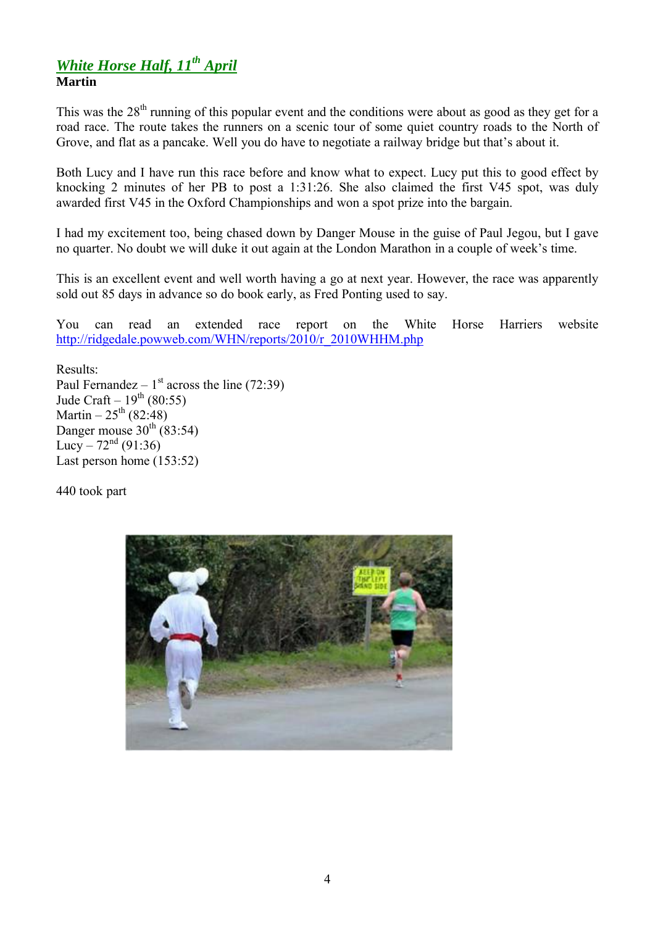## *White Horse Half, 11th April* **Martin**

This was the  $28<sup>th</sup>$  running of this popular event and the conditions were about as good as they get for a road race. The route takes the runners on a scenic tour of some quiet country roads to the North of Grove, and flat as a pancake. Well you do have to negotiate a railway bridge but that's about it.

Both Lucy and I have run this race before and know what to expect. Lucy put this to good effect by knocking 2 minutes of her PB to post a 1:31:26. She also claimed the first V45 spot, was duly awarded first V45 in the Oxford Championships and won a spot prize into the bargain.

I had my excitement too, being chased down by Danger Mouse in the guise of Paul Jegou, but I gave no quarter. No doubt we will duke it out again at the London Marathon in a couple of week's time.

This is an excellent event and well worth having a go at next year. However, the race was apparently sold out 85 days in advance so do book early, as Fred Ponting used to say.

You can read an extended race report on the White Horse Harriers website http://ridgedale.powweb.com/WHN/reports/2010/r\_2010WHHM.php

Results: Paul Fernandez –  $1<sup>st</sup>$  across the line (72:39) Jude Craft –  $19^{th}$  (80:55) Martin –  $25^{\text{th}}$  (82:48) Danger mouse  $30^{th}$  (83:54) Lucy –  $72^{nd} (91:36)$ Last person home (153:52)

440 took part

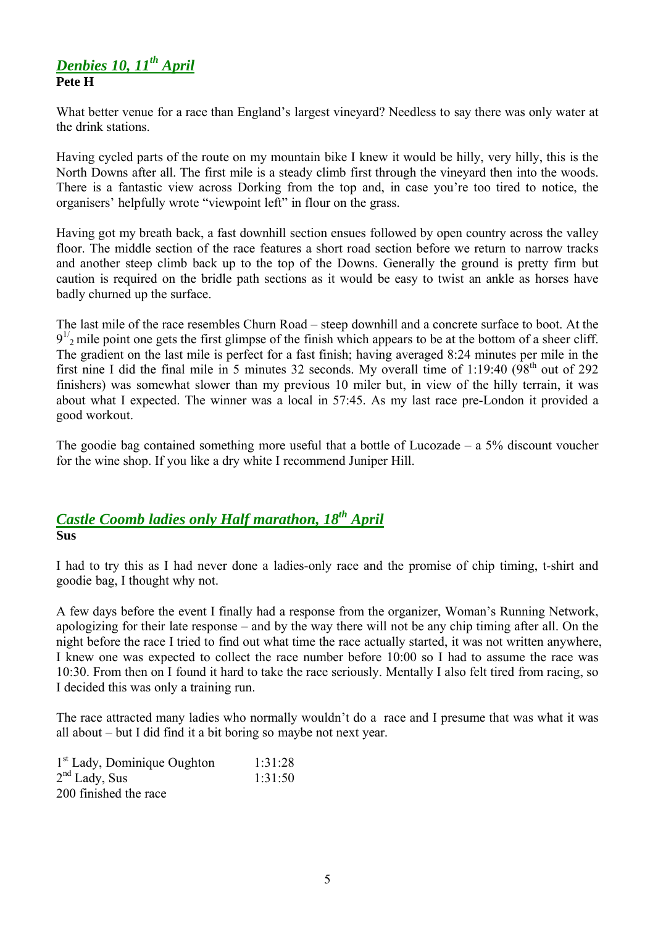## *Denbies 10, 11th April* **Pete H**

What better venue for a race than England's largest vineyard? Needless to say there was only water at the drink stations.

Having cycled parts of the route on my mountain bike I knew it would be hilly, very hilly, this is the North Downs after all. The first mile is a steady climb first through the vineyard then into the woods. There is a fantastic view across Dorking from the top and, in case you're too tired to notice, the organisers' helpfully wrote "viewpoint left" in flour on the grass.

Having got my breath back, a fast downhill section ensues followed by open country across the valley floor. The middle section of the race features a short road section before we return to narrow tracks and another steep climb back up to the top of the Downs. Generally the ground is pretty firm but caution is required on the bridle path sections as it would be easy to twist an ankle as horses have badly churned up the surface.

The last mile of the race resembles Churn Road – steep downhill and a concrete surface to boot. At the  $9<sup>1/2</sup>$  mile point one gets the first glimpse of the finish which appears to be at the bottom of a sheer cliff. The gradient on the last mile is perfect for a fast finish; having averaged 8:24 minutes per mile in the first nine I did the final mile in 5 minutes 32 seconds. My overall time of  $1:19:40$  ( $98<sup>th</sup>$  out of 292 finishers) was somewhat slower than my previous 10 miler but, in view of the hilly terrain, it was about what I expected. The winner was a local in 57:45. As my last race pre-London it provided a good workout.

The goodie bag contained something more useful that a bottle of Lucozade – a  $5\%$  discount voucher for the wine shop. If you like a dry white I recommend Juniper Hill.

# *Castle Coomb ladies only Half marathon, 18th April* **Sus**

I had to try this as I had never done a ladies-only race and the promise of chip timing, t-shirt and goodie bag, I thought why not.

A few days before the event I finally had a response from the organizer, Woman's Running Network, apologizing for their late response – and by the way there will not be any chip timing after all. On the night before the race I tried to find out what time the race actually started, it was not written anywhere, I knew one was expected to collect the race number before 10:00 so I had to assume the race was 10:30. From then on I found it hard to take the race seriously. Mentally I also felt tired from racing, so I decided this was only a training run.

The race attracted many ladies who normally wouldn't do a race and I presume that was what it was all about – but I did find it a bit boring so maybe not next year.

| $1st$ Lady, Dominique Oughton | 1:31:28 |
|-------------------------------|---------|
| $2nd$ Lady, Sus               | 1:31:50 |
| 200 finished the race         |         |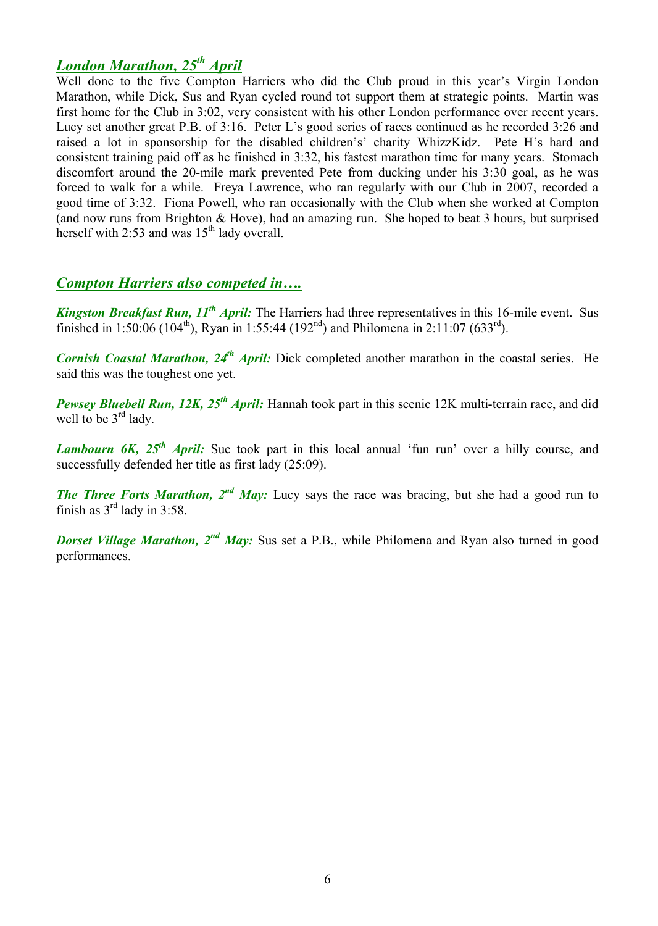# *London Marathon, 25th April*

Well done to the five Compton Harriers who did the Club proud in this year's Virgin London Marathon, while Dick, Sus and Ryan cycled round tot support them at strategic points. Martin was first home for the Club in 3:02, very consistent with his other London performance over recent years. Lucy set another great P.B. of 3:16. Peter L's good series of races continued as he recorded 3:26 and raised a lot in sponsorship for the disabled children's' charity WhizzKidz. Pete H's hard and consistent training paid off as he finished in 3:32, his fastest marathon time for many years. Stomach discomfort around the 20-mile mark prevented Pete from ducking under his 3:30 goal, as he was forced to walk for a while. Freya Lawrence, who ran regularly with our Club in 2007, recorded a good time of 3:32. Fiona Powell, who ran occasionally with the Club when she worked at Compton (and now runs from Brighton & Hove), had an amazing run. She hoped to beat 3 hours, but surprised herself with 2:53 and was  $15<sup>th</sup>$  lady overall.

# *Compton Harriers also competed in….*

*Kingston Breakfast Run, 11th April:* The Harriers had three representatives in this 16-mile event. Sus finished in 1:50:06 (104<sup>th</sup>), Ryan in 1:55:44 (192<sup>nd</sup>) and Philomena in 2:11:07 (633<sup>rd</sup>).

*Cornish Coastal Marathon, 24th April:* Dick completed another marathon in the coastal series. He said this was the toughest one yet.

*Pewsey Bluebell Run, 12K, 25<sup>th</sup> April:* Hannah took part in this scenic 12K multi-terrain race, and did well to be 3<sup>rd</sup> lady.

*Lambourn 6K, 25<sup>th</sup> April:* Sue took part in this local annual 'fun run' over a hilly course, and successfully defended her title as first lady (25:09).

*The Three Forts Marathon, 2<sup>nd</sup> May:* Lucy says the race was bracing, but she had a good run to finish as  $3^{\text{rd}}$  lady in 3:58.

**Dorset Village Marathon, 2<sup>nd</sup> May:** Sus set a P.B., while Philomena and Ryan also turned in good performances.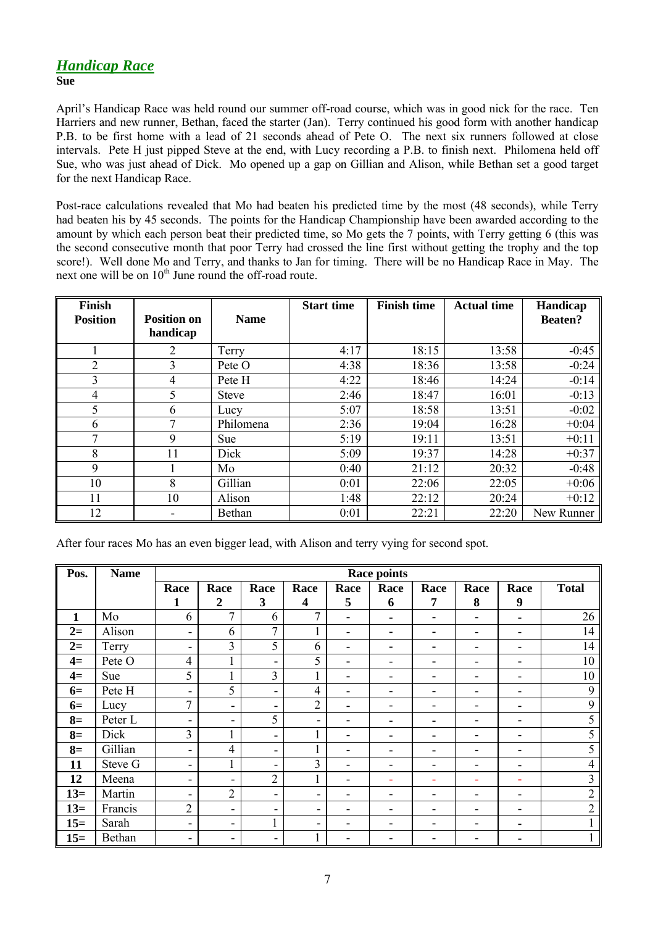## *Handicap Race*

#### **Sue**

April's Handicap Race was held round our summer off-road course, which was in good nick for the race. Ten Harriers and new runner, Bethan, faced the starter (Jan). Terry continued his good form with another handicap P.B. to be first home with a lead of 21 seconds ahead of Pete O. The next six runners followed at close intervals. Pete H just pipped Steve at the end, with Lucy recording a P.B. to finish next. Philomena held off Sue, who was just ahead of Dick. Mo opened up a gap on Gillian and Alison, while Bethan set a good target for the next Handicap Race.

Post-race calculations revealed that Mo had beaten his predicted time by the most (48 seconds), while Terry had beaten his by 45 seconds. The points for the Handicap Championship have been awarded according to the amount by which each person beat their predicted time, so Mo gets the 7 points, with Terry getting 6 (this was the second consecutive month that poor Terry had crossed the line first without getting the trophy and the top score!). Well done Mo and Terry, and thanks to Jan for timing. There will be no Handicap Race in May. The next one will be on  $10<sup>th</sup>$  June round the off-road route.

| <b>Finish</b>   |                    |              | <b>Start time</b> | <b>Finish time</b> | <b>Actual time</b> | Handicap       |
|-----------------|--------------------|--------------|-------------------|--------------------|--------------------|----------------|
| <b>Position</b> | <b>Position on</b> | <b>Name</b>  |                   |                    |                    | <b>Beaten?</b> |
|                 | handicap           |              |                   |                    |                    |                |
|                 | $\overline{2}$     | Terry        | 4:17              | 18:15              | 13:58              | $-0:45$        |
| $\overline{2}$  | 3                  | Pete O       | 4:38              | 18:36              | 13:58              | $-0:24$        |
| 3               | 4                  | Pete H       | 4:22              | 18:46              | 14:24              | $-0:14$        |
| 4               | 5                  | <b>Steve</b> | 2:46              | 18:47              | 16:01              | $-0:13$        |
| 5               | 6                  | Lucy         | 5:07              | 18:58              | 13:51              | $-0:02$        |
| 6               | 7                  | Philomena    | 2:36              | 19:04              | 16:28              | $+0:04$        |
| 7               | 9                  | Sue          | 5:19              | 19:11              | 13:51              | $+0:11$        |
| 8               | 11                 | Dick         | 5:09              | 19:37              | 14:28              | $+0:37$        |
| 9               |                    | Mo           | 0:40              | 21:12              | 20:32              | $-0:48$        |
| 10              | 8                  | Gillian      | 0:01              | 22:06              | 22:05              | $+0:06$        |
| 11              | 10                 | Alison       | 1:48              | 22:12              | 20:24              | $+0:12$        |
| 12              |                    | Bethan       | 0:01              | 22:21              | 22:20              | New Runner     |

After four races Mo has an even bigger lead, with Alison and terry vying for second spot.

| Pos.         | <b>Name</b> | Race points                  |                          |                          |                         |                          |                          |      |                          |                          |                |
|--------------|-------------|------------------------------|--------------------------|--------------------------|-------------------------|--------------------------|--------------------------|------|--------------------------|--------------------------|----------------|
|              |             | Race                         | Race                     | Race                     | Race                    | Race                     | Race                     | Race | Race                     | Race                     | <b>Total</b>   |
|              |             | 1                            | $\boldsymbol{2}$         | $\mathbf{3}$             | $\overline{\mathbf{4}}$ | 5                        | 6                        | 7    | 8                        | 9                        |                |
| $\mathbf{1}$ | Mo          | 6                            | $\tau$                   | 6                        | $\mathcal{I}$           | $\overline{\phantom{a}}$ | ۰.                       |      |                          | $\blacksquare$           | 26             |
| $2=$         | Alison      | ۰                            | 6                        | $\tau$                   | I.                      | -                        | ۰.                       | ۰    |                          | $\overline{\phantom{a}}$ | 14             |
| $2=$         | Terry       | -                            | 3                        | 5                        | 6                       | -                        |                          |      |                          | ۰                        | 14             |
| $4=$         | Pete O      | $\overline{4}$               | 1                        | ۰                        | 5                       | ۰.                       | -                        |      |                          | ٠                        | 10             |
| $4=$         | Sue         | 5                            | 1                        | $\overline{3}$           | $\mathbf{1}$            | ۰                        | -                        |      |                          | $\overline{\phantom{a}}$ | 10             |
| $6=$         | Pete H      | -                            | 5                        | ٠                        | 4                       | -                        | ۰                        |      |                          | $\overline{\phantom{a}}$ | 9              |
| $6=$         | Lucy        | $\tau$                       | ۰                        | ۰                        | $\overline{2}$          | ۰                        |                          |      |                          | $\blacksquare$           | 9              |
| $8=$         | Peter L     | -                            | $\overline{\phantom{a}}$ | 5                        | -                       | -                        |                          |      |                          | $\overline{\phantom{a}}$ | 5              |
| $8=$         | Dick        | 3                            | $\mathbf{1}$             | ۰                        | 1<br>T                  | -                        |                          |      |                          | $\overline{\phantom{a}}$ | 5              |
| $8=$         | Gillian     | ۰                            | $\overline{4}$           | ۰                        |                         | ۰                        |                          |      |                          | ۰                        | 5              |
| 11           | Steve G     | -                            | $\mathbf{1}$             | ۰                        | 3                       | -                        | -                        |      |                          | $\blacksquare$           | 4              |
| 12           | Meena       | -                            | -                        | $\overline{2}$           | I.                      | -                        | $\overline{\phantom{0}}$ |      | $\overline{\phantom{0}}$ | $\sim$                   | 3              |
| $13=$        | Martin      | $\qquad \qquad \blacksquare$ | $\overline{2}$           | ۰                        | ۰                       | ۰                        | -                        |      |                          | $\overline{\phantom{a}}$ | $\overline{2}$ |
| $13=$        | Francis     | $\overline{2}$               | ٠                        | $\overline{\phantom{a}}$ | ۰                       | ۰                        |                          |      |                          | $\blacksquare$           | $\overline{2}$ |
| $15=$        | Sarah       | $\blacksquare$               | -                        |                          | ۰                       |                          |                          |      |                          | ۰                        |                |
| $15=$        | Bethan      | ۰                            | -                        | $\overline{\phantom{a}}$ |                         |                          |                          |      |                          |                          |                |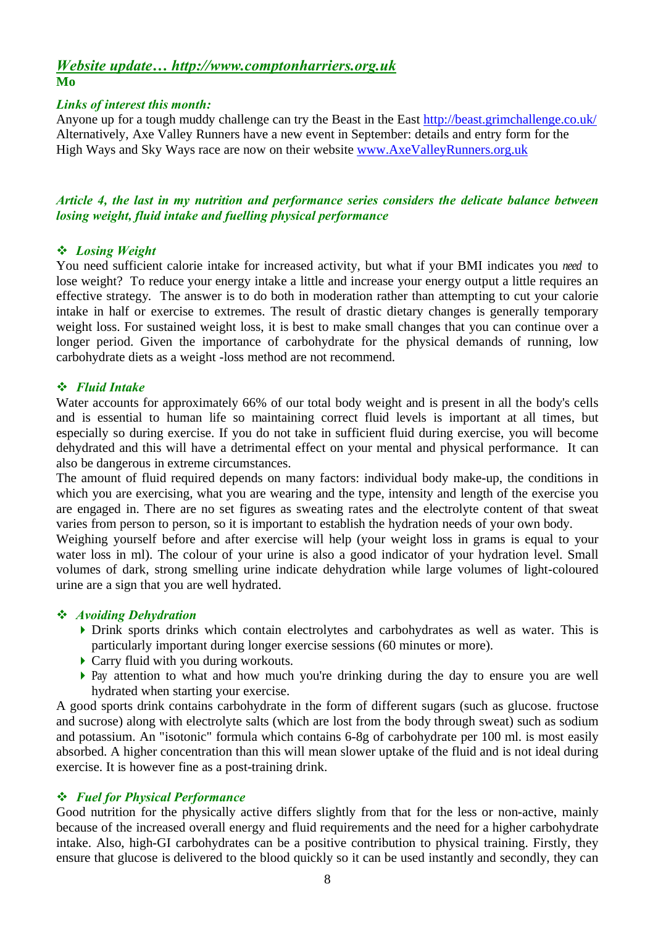### *Website update… http://www.comptonharriers.org.uk* **Mo**

### *Links of interest this month:*

Anyone up for a tough muddy challenge can try the Beast in the East http://beast.grimchallenge.co.uk/ Alternatively, Axe Valley Runners have a new event in September: details and entry form for the High Ways and Sky Ways race are now on their website www.AxeValleyRunners.org.uk

## *Article 4, the last in my nutrition and performance series considers the delicate balance between losing weight, fluid intake and fuelling physical performance*

### *Losing Weight*

You need sufficient calorie intake for increased activity, but what if your BMI indicates you *need* to lose weight? To reduce your energy intake a little and increase your energy output a little requires an effective strategy. The answer is to do both in moderation rather than attempting to cut your calorie intake in half or exercise to extremes. The result of drastic dietary changes is generally temporary weight loss. For sustained weight loss, it is best to make small changes that you can continue over a longer period. Given the importance of carbohydrate for the physical demands of running, low carbohydrate diets as a weight -loss method are not recommend.

### *Fluid Intake*

Water accounts for approximately 66% of our total body weight and is present in all the body's cells and is essential to human life so maintaining correct fluid levels is important at all times, but especially so during exercise. If you do not take in sufficient fluid during exercise, you will become dehydrated and this will have a detrimental effect on your mental and physical performance. It can also be dangerous in extreme circumstances.

The amount of fluid required depends on many factors: individual body make-up, the conditions in which you are exercising, what you are wearing and the type, intensity and length of the exercise you are engaged in. There are no set figures as sweating rates and the electrolyte content of that sweat varies from person to person, so it is important to establish the hydration needs of your own body.

Weighing yourself before and after exercise will help (your weight loss in grams is equal to your water loss in ml). The colour of your urine is also a good indicator of your hydration level. Small volumes of dark, strong smelling urine indicate dehydration while large volumes of light-coloured urine are a sign that you are well hydrated.

### *Avoiding Dehydration*

- Drink sports drinks which contain electrolytes and carbohydrates as well as water. This is particularly important during longer exercise sessions (60 minutes or more).
- ▶ Carry fluid with you during workouts.
- Pay attention to what and how much you're drinking during the day to ensure you are well hydrated when starting your exercise.

A good sports drink contains carbohydrate in the form of different sugars (such as glucose. fructose and sucrose) along with electrolyte salts (which are lost from the body through sweat) such as sodium and potassium. An "isotonic" formula which contains 6-8g of carbohydrate per 100 ml. is most easily absorbed. A higher concentration than this will mean slower uptake of the fluid and is not ideal during exercise. It is however fine as a post-training drink.

#### *Fuel for Physical Performance*

Good nutrition for the physically active differs slightly from that for the less or non-active, mainly because of the increased overall energy and fluid requirements and the need for a higher carbohydrate intake. Also, high-GI carbohydrates can be a positive contribution to physical training. Firstly, they ensure that glucose is delivered to the blood quickly so it can be used instantly and secondly, they can